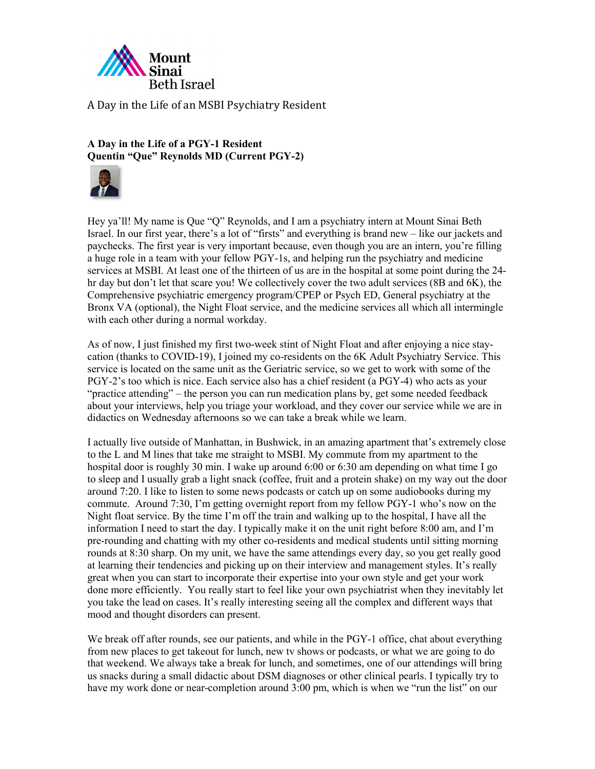

**A Day in the Life of a PGY-1 Resident Quentin "Que" Reynolds MD (Current PGY-2)**



Hey ya'll! My name is Que "Q" Reynolds, and I am a psychiatry intern at Mount Sinai Beth Israel. In our first year, there's a lot of "firsts" and everything is brand new – like our jackets and paychecks. The first year is very important because, even though you are an intern, you're filling a huge role in a team with your fellow PGY-1s, and helping run the psychiatry and medicine services at MSBI. At least one of the thirteen of us are in the hospital at some point during the 24 hr day but don't let that scare you! We collectively cover the two adult services (8B and 6K), the Comprehensive psychiatric emergency program/CPEP or Psych ED, General psychiatry at the Bronx VA (optional), the Night Float service, and the medicine services all which all intermingle with each other during a normal workday.

As of now, I just finished my first two-week stint of Night Float and after enjoying a nice staycation (thanks to COVID-19), I joined my co-residents on the 6K Adult Psychiatry Service. This service is located on the same unit as the Geriatric service, so we get to work with some of the PGY-2's too which is nice. Each service also has a chief resident (a PGY-4) who acts as your "practice attending" – the person you can run medication plans by, get some needed feedback about your interviews, help you triage your workload, and they cover our service while we are in didactics on Wednesday afternoons so we can take a break while we learn.

I actually live outside of Manhattan, in Bushwick, in an amazing apartment that's extremely close to the L and M lines that take me straight to MSBI. My commute from my apartment to the hospital door is roughly 30 min. I wake up around 6:00 or 6:30 am depending on what time I go to sleep and I usually grab a light snack (coffee, fruit and a protein shake) on my way out the door around 7:20. I like to listen to some news podcasts or catch up on some audiobooks during my commute. Around 7:30, I'm getting overnight report from my fellow PGY-1 who's now on the Night float service. By the time I'm off the train and walking up to the hospital, I have all the information I need to start the day. I typically make it on the unit right before 8:00 am, and I'm pre-rounding and chatting with my other co-residents and medical students until sitting morning rounds at 8:30 sharp. On my unit, we have the same attendings every day, so you get really good at learning their tendencies and picking up on their interview and management styles. It's really great when you can start to incorporate their expertise into your own style and get your work done more efficiently. You really start to feel like your own psychiatrist when they inevitably let you take the lead on cases. It's really interesting seeing all the complex and different ways that mood and thought disorders can present.

We break off after rounds, see our patients, and while in the PGY-1 office, chat about everything from new places to get takeout for lunch, new tv shows or podcasts, or what we are going to do that weekend. We always take a break for lunch, and sometimes, one of our attendings will bring us snacks during a small didactic about DSM diagnoses or other clinical pearls. I typically try to have my work done or near-completion around 3:00 pm, which is when we "run the list" on our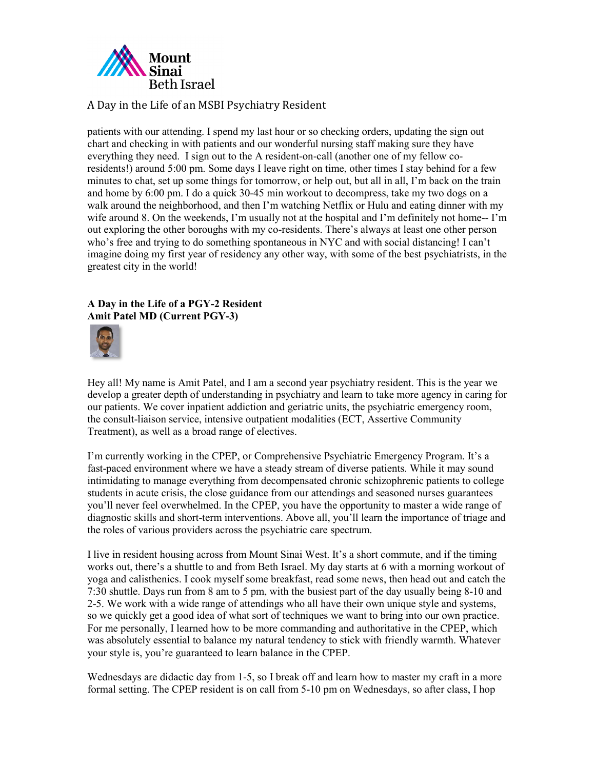

patients with our attending. I spend my last hour or so checking orders, updating the sign out chart and checking in with patients and our wonderful nursing staff making sure they have everything they need. I sign out to the A resident-on-call (another one of my fellow coresidents!) around 5:00 pm. Some days I leave right on time, other times I stay behind for a few minutes to chat, set up some things for tomorrow, or help out, but all in all, I'm back on the train and home by 6:00 pm. I do a quick 30-45 min workout to decompress, take my two dogs on a walk around the neighborhood, and then I'm watching Netflix or Hulu and eating dinner with my wife around 8. On the weekends, I'm usually not at the hospital and I'm definitely not home-- I'm out exploring the other boroughs with my co-residents. There's always at least one other person who's free and trying to do something spontaneous in NYC and with social distancing! I can't imagine doing my first year of residency any other way, with some of the best psychiatrists, in the greatest city in the world!

### **A Day in the Life of a PGY-2 Resident Amit Patel MD (Current PGY-3)**



Hey all! My name is Amit Patel, and I am a second year psychiatry resident. This is the year we develop a greater depth of understanding in psychiatry and learn to take more agency in caring for our patients. We cover inpatient addiction and geriatric units, the psychiatric emergency room, the consult-liaison service, intensive outpatient modalities (ECT, Assertive Community Treatment), as well as a broad range of electives.

I'm currently working in the CPEP, or Comprehensive Psychiatric Emergency Program. It's a fast-paced environment where we have a steady stream of diverse patients. While it may sound intimidating to manage everything from decompensated chronic schizophrenic patients to college students in acute crisis, the close guidance from our attendings and seasoned nurses guarantees you'll never feel overwhelmed. In the CPEP, you have the opportunity to master a wide range of diagnostic skills and short-term interventions. Above all, you'll learn the importance of triage and the roles of various providers across the psychiatric care spectrum.

I live in resident housing across from Mount Sinai West. It's a short commute, and if the timing works out, there's a shuttle to and from Beth Israel. My day starts at 6 with a morning workout of yoga and calisthenics. I cook myself some breakfast, read some news, then head out and catch the 7:30 shuttle. Days run from 8 am to 5 pm, with the busiest part of the day usually being 8-10 and 2-5. We work with a wide range of attendings who all have their own unique style and systems, so we quickly get a good idea of what sort of techniques we want to bring into our own practice. For me personally, I learned how to be more commanding and authoritative in the CPEP, which was absolutely essential to balance my natural tendency to stick with friendly warmth. Whatever your style is, you're guaranteed to learn balance in the CPEP.

Wednesdays are didactic day from 1-5, so I break off and learn how to master my craft in a more formal setting. The CPEP resident is on call from 5-10 pm on Wednesdays, so after class, I hop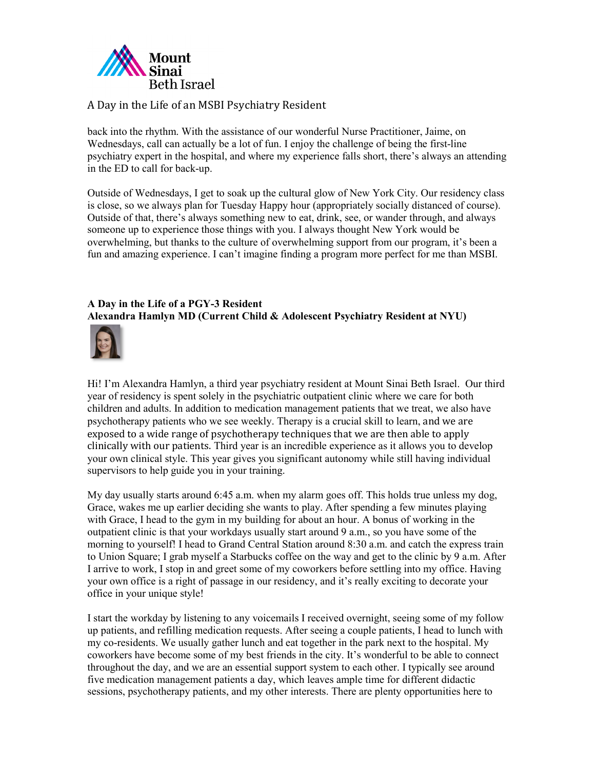

back into the rhythm. With the assistance of our wonderful Nurse Practitioner, Jaime, on Wednesdays, call can actually be a lot of fun. I enjoy the challenge of being the first-line psychiatry expert in the hospital, and where my experience falls short, there's always an attending in the ED to call for back-up.

Outside of Wednesdays, I get to soak up the cultural glow of New York City. Our residency class is close, so we always plan for Tuesday Happy hour (appropriately socially distanced of course). Outside of that, there's always something new to eat, drink, see, or wander through, and always someone up to experience those things with you. I always thought New York would be overwhelming, but thanks to the culture of overwhelming support from our program, it's been a fun and amazing experience. I can't imagine finding a program more perfect for me than MSBI.

#### **A Day in the Life of a PGY-3 Resident Alexandra Hamlyn MD (Current Child & Adolescent Psychiatry Resident at NYU)**



Hi! I'm Alexandra Hamlyn, a third year psychiatry resident at Mount Sinai Beth Israel. Our third year of residency is spent solely in the psychiatric outpatient clinic where we care for both children and adults. In addition to medication management patients that we treat, we also have psychotherapy patients who we see weekly. Therapy is a crucial skill to learn, and we are exposed to a wide range of psychotherapy techniques that we are then able to apply clinically with our patients. Third year is an incredible experience as it allows you to develop your own clinical style. This year gives you significant autonomy while still having individual supervisors to help guide you in your training.

My day usually starts around 6:45 a.m. when my alarm goes off. This holds true unless my dog, Grace, wakes me up earlier deciding she wants to play. After spending a few minutes playing with Grace, I head to the gym in my building for about an hour. A bonus of working in the outpatient clinic is that your workdays usually start around 9 a.m., so you have some of the morning to yourself! I head to Grand Central Station around 8:30 a.m. and catch the express train to Union Square; I grab myself a Starbucks coffee on the way and get to the clinic by 9 a.m. After I arrive to work, I stop in and greet some of my coworkers before settling into my office. Having your own office is a right of passage in our residency, and it's really exciting to decorate your office in your unique style!

I start the workday by listening to any voicemails I received overnight, seeing some of my follow up patients, and refilling medication requests. After seeing a couple patients, I head to lunch with my co-residents. We usually gather lunch and eat together in the park next to the hospital. My coworkers have become some of my best friends in the city. It's wonderful to be able to connect throughout the day, and we are an essential support system to each other. I typically see around five medication management patients a day, which leaves ample time for different didactic sessions, psychotherapy patients, and my other interests. There are plenty opportunities here to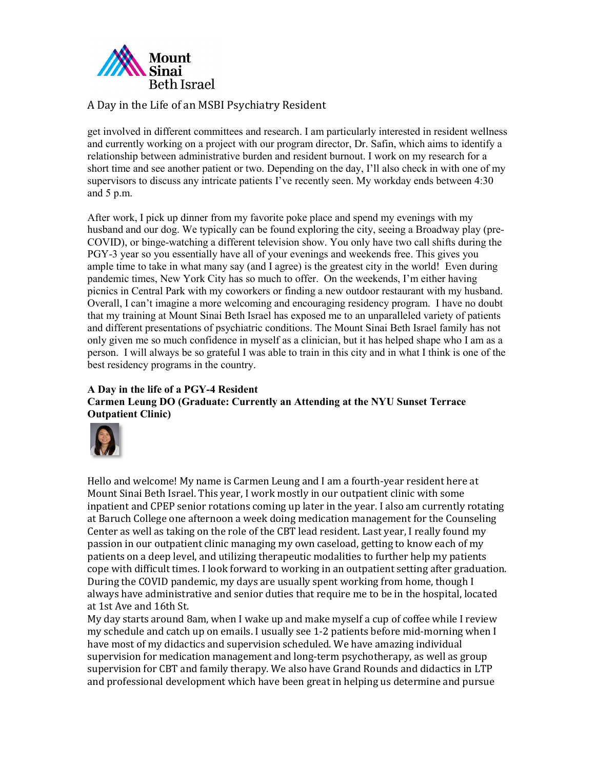

get involved in different committees and research. I am particularly interested in resident wellness and currently working on a project with our program director, Dr. Safin, which aims to identify a relationship between administrative burden and resident burnout. I work on my research for a short time and see another patient or two. Depending on the day, I'll also check in with one of my supervisors to discuss any intricate patients I've recently seen. My workday ends between 4:30 and 5 p.m.

After work, I pick up dinner from my favorite poke place and spend my evenings with my husband and our dog. We typically can be found exploring the city, seeing a Broadway play (pre-COVID), or binge-watching a different television show. You only have two call shifts during the PGY-3 year so you essentially have all of your evenings and weekends free. This gives you ample time to take in what many say (and I agree) is the greatest city in the world! Even during pandemic times, New York City has so much to offer. On the weekends, I'm either having picnics in Central Park with my coworkers or finding a new outdoor restaurant with my husband. Overall, I can't imagine a more welcoming and encouraging residency program. I have no doubt that my training at Mount Sinai Beth Israel has exposed me to an unparalleled variety of patients and different presentations of psychiatric conditions. The Mount Sinai Beth Israel family has not only given me so much confidence in myself as a clinician, but it has helped shape who I am as a person. I will always be so grateful I was able to train in this city and in what I think is one of the best residency programs in the country.

### **A Day in the life of a PGY-4 Resident Carmen Leung DO (Graduate: Currently an Attending at the NYU Sunset Terrace Outpatient Clinic)**



Hello and welcome! My name is Carmen Leung and I am a fourth-year resident here at Mount Sinai Beth Israel. This year, I work mostly in our outpatient clinic with some inpatient and CPEP senior rotations coming up later in the year. I also am currently rotating at Baruch College one afternoon a week doing medication management for the Counseling Center as well as taking on the role of the CBT lead resident. Last year, I really found my passion in our outpatient clinic managing my own caseload, getting to know each of my patients on a deep level, and utilizing therapeutic modalities to further help my patients cope with difficult times. I look forward to working in an outpatient setting after graduation. During the COVID pandemic, my days are usually spent working from home, though I always have administrative and senior duties that require me to be in the hospital, located at 1st Ave and 16th St.

My day starts around 8am, when I wake up and make myself a cup of coffee while I review my schedule and catch up on emails. I usually see 1-2 patients before mid-morning when I have most of my didactics and supervision scheduled. We have amazing individual supervision for medication management and long-term psychotherapy, as well as group supervision for CBT and family therapy. We also have Grand Rounds and didactics in LTP and professional development which have been great in helping us determine and pursue